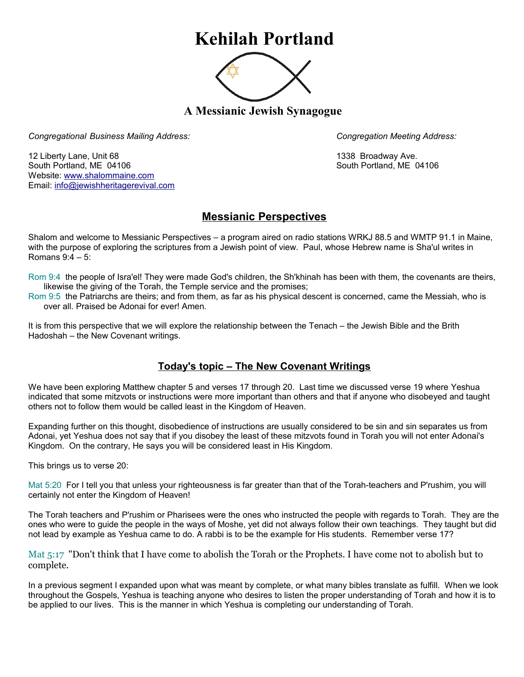## **Kehilah Portland**



**A Messianic Jewish Synagogue** 

*Congregational Business Mailing Address: Congregation Meeting Address:*

12 Liberty Lane, Unit 68 1338 Broadway Ave. South Portland, ME 04106 South Portland, ME 04106 Website: [www.shalommaine.com](http://www.shalommaine.com/) Email: [info@jewishheritagerevival.com](mailto:info@jewishheritagerevival.com) 

## **Messianic Perspectives**

Shalom and welcome to Messianic Perspectives – a program aired on radio stations WRKJ 88.5 and WMTP 91.1 in Maine, with the purpose of exploring the scriptures from a Jewish point of view. Paul, whose Hebrew name is Sha'ul writes in Romans 9:4 – 5:

Rom 9:4 the people of Isra'el! They were made God's children, the Sh'khinah has been with them, the covenants are theirs, likewise the giving of the Torah, the Temple service and the promises;

Rom 9:5 the Patriarchs are theirs; and from them, as far as his physical descent is concerned, came the Messiah, who is over all. Praised be Adonai for ever! Amen.

It is from this perspective that we will explore the relationship between the Tenach – the Jewish Bible and the Brith Hadoshah – the New Covenant writings.

## **Today's topic – The New Covenant Writings**

We have been exploring Matthew chapter 5 and verses 17 through 20. Last time we discussed verse 19 where Yeshua indicated that some mitzvots or instructions were more important than others and that if anyone who disobeyed and taught others not to follow them would be called least in the Kingdom of Heaven.

Expanding further on this thought, disobedience of instructions are usually considered to be sin and sin separates us from Adonai, yet Yeshua does not say that if you disobey the least of these mitzvots found in Torah you will not enter Adonai's Kingdom. On the contrary, He says you will be considered least in His Kingdom.

This brings us to verse 20:

Mat 5:20 For I tell you that unless your righteousness is far greater than that of the Torah-teachers and P'rushim, you will certainly not enter the Kingdom of Heaven!

The Torah teachers and P'rushim or Pharisees were the ones who instructed the people with regards to Torah. They are the ones who were to guide the people in the ways of Moshe, yet did not always follow their own teachings. They taught but did not lead by example as Yeshua came to do. A rabbi is to be the example for His students. Remember verse 17?

Mat 5:17 "Don't think that I have come to abolish the Torah or the Prophets. I have come not to abolish but to complete.

In a previous segment I expanded upon what was meant by complete, or what many bibles translate as fulfill. When we look throughout the Gospels, Yeshua is teaching anyone who desires to listen the proper understanding of Torah and how it is to be applied to our lives. This is the manner in which Yeshua is completing our understanding of Torah.